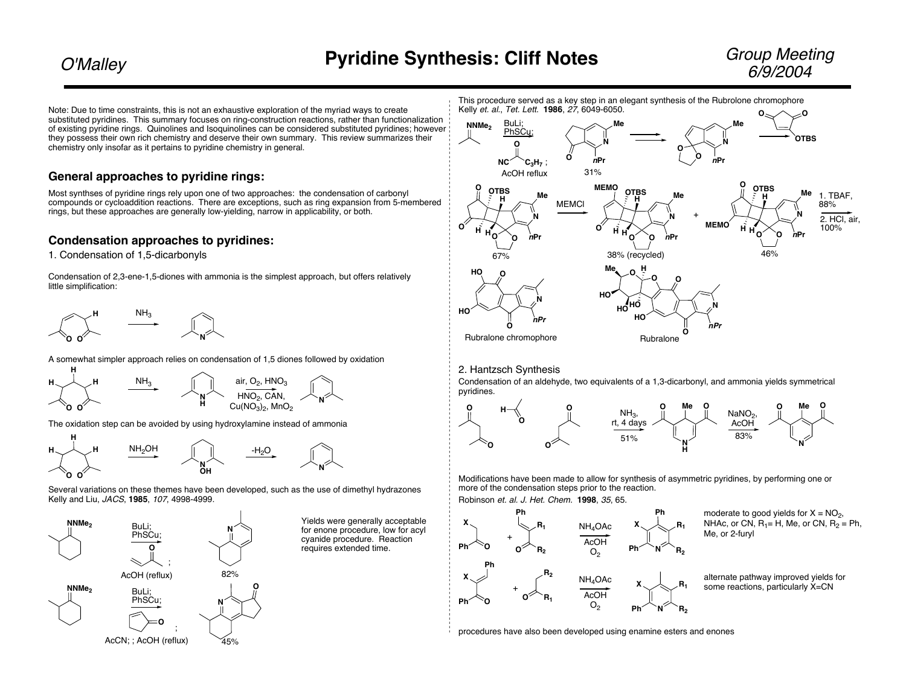Note: Due to time constraints, this is not an exhaustive exploration of the myriad ways to create substituted pyridines. This summary focuses on ring-construction reactions, rather than functionalization of existing pyridine rings. Quinolines and Isoquinolines can be considered substituted pyridines; however they possess their own rich chemistry and deserve their own summary. This review summarizes their chemistry only insofar as it pertains to pyridine chemistry in general.

## **General approaches to pyridine rings:**

Most synthses of pyridine rings rely upon one of two approaches: the condensation of carbonyl compounds or cycloaddition reactions. There are exceptions, such as ring expansion from 5-membered rings, but these approaches are generally low-yielding, narrow in applicability, or both.

# **Condensation approaches to pyridines:**

1. Condensation of 1,5-dicarbonyls

Condensation of 2,3-ene-1,5-diones with ammonia is the simplest approach, but offers relatively little simplification:



A somewhat simpler approach relies on condensation of 1,5 diones followed by oxidation



The oxidation step can be avoided by using hydroxylamine instead of ammonia



Several variations on these themes have been developed, such as the use of dimethyl hydrazones Kelly and Liu, JACS, **1985**, 107, 4998-4999.



Yields were generally acceptable for enone procedure, low for acyl cyanide procedure. Reaction requires extended time.

This procedure served as a key step in an elegant synthesis of the Rubrolone chromophore Kelly et. al., Tet. Lett. **1986**, 27, 6049-6050.



2. Hantzsch Synthesis

Condensation of an aldehyde, two equivalents of a 1,3-dicarbonyl, and ammonia yields symmetrical pyridines.



Modifications have been made to allow for synthesis of asymmetric pyridines, by performing one or more of the condensation steps prior to the reaction.

Robinson et. al. J. Het. Chem. **1998**, 35, 65.



moderate to good yields for  $X = NO<sub>2</sub>$ , NHAc, or CN,  $R_1$ = H, Me, or CN,  $R_2$  = Ph, Me, or 2-furyl

alternate pathway improved yields for some reactions, particularly X=CN

procedures have also been developed using enamine esters and enones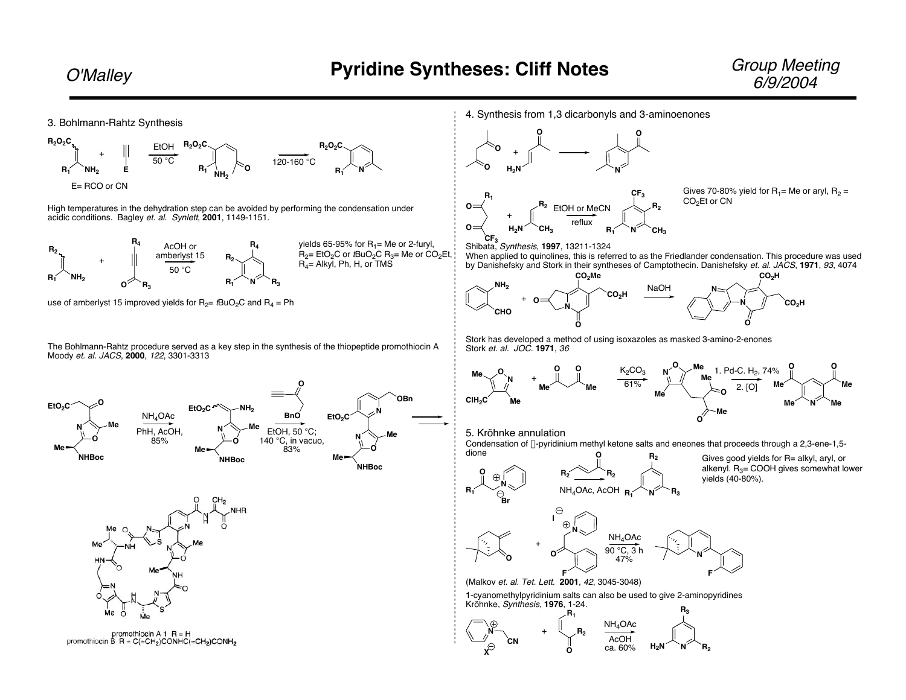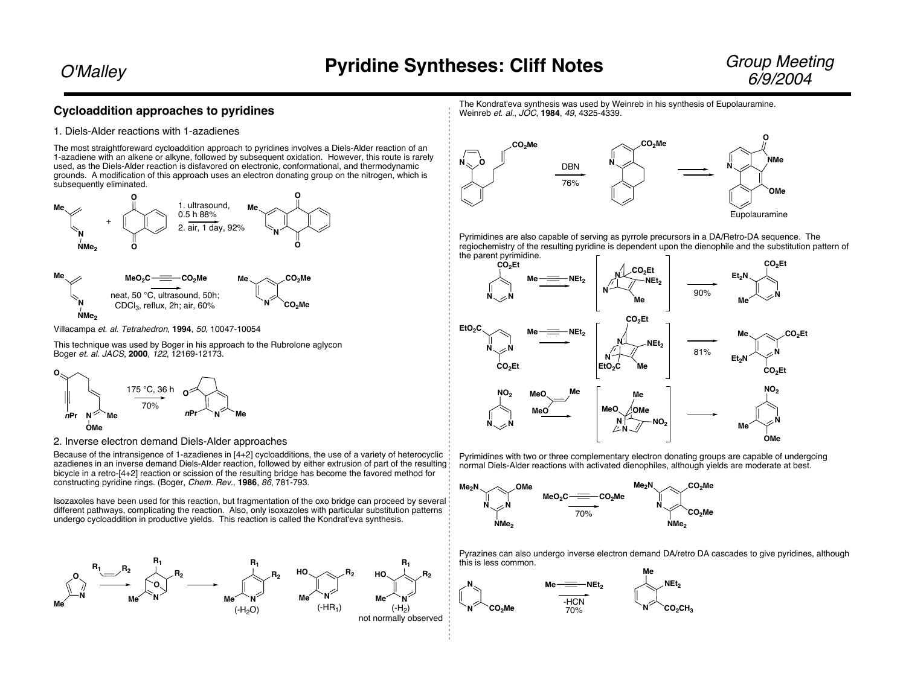## **Cycloaddition approaches to pyridines**

#### 1. Diels-Alder reactions with 1-azadienes

The most straightforeward cycloaddition approach to pyridines involves a Diels-Alder reaction of an 1-azadiene with an alkene or alkyne, followed by subsequent oxidation. However, this route is rarely used, as the Diels-Alder reaction is disfavored on electronic, conformational, and thermodynamic grounds. A modification of this approach uses an electron donating group on the nitrogen, which is subsequently eliminated.



Villacampa et. al. Tetrahedron, **1994**, 50, 10047-10054

This technique was used by Boger in his approach to the Rubrolone aglycon Boger et. al. JACS, **2000**, 122, 12169-12173.



2. Inverse electron demand Diels-Alder approaches

Because of the intransigence of 1-azadienes in [4+2] cycloadditions, the use of a variety of heterocyclic azadienes in an inverse demand Diels-Alder reaction, followed by either extrusion of part of the resulting bicycle in a retro-[4+2] reaction or scission of the resulting bridge has become the favored method for constructing pyridine rings. (Boger, Chem. Rev., **1986**, 86, 781-793.

Isozaxoles have been used for this reaction, but fragmentation of the oxo bridge can proceed by several different pathways, complicating the reaction. Also, only isoxazoles with particular substitution patterns undergo cycloaddition in productive yields. This reaction is called the Kondrat'eva synthesis.



The Kondrat'eva synthesis was used by Weinreb in his synthesis of Eupolauramine. Weinreb et. al., JOC, **1984**, 49, 4325-4339.



Pyrimidines are also capable of serving as pyrrole precursors in a DA/Retro-DA sequence. The regiochemistry of the resulting pyridine is dependent upon the dienophile and the substitution pattern of the parent pyrimidine.



Pyrimidines with two or three complementary electron donating groups are capable of undergoing normal Diels-Alder reactions with activated dienophiles, although yields are moderate at best.



Pyrazines can also undergo inverse electron demand DA/retro DA cascades to give pyridines, although this is less common.

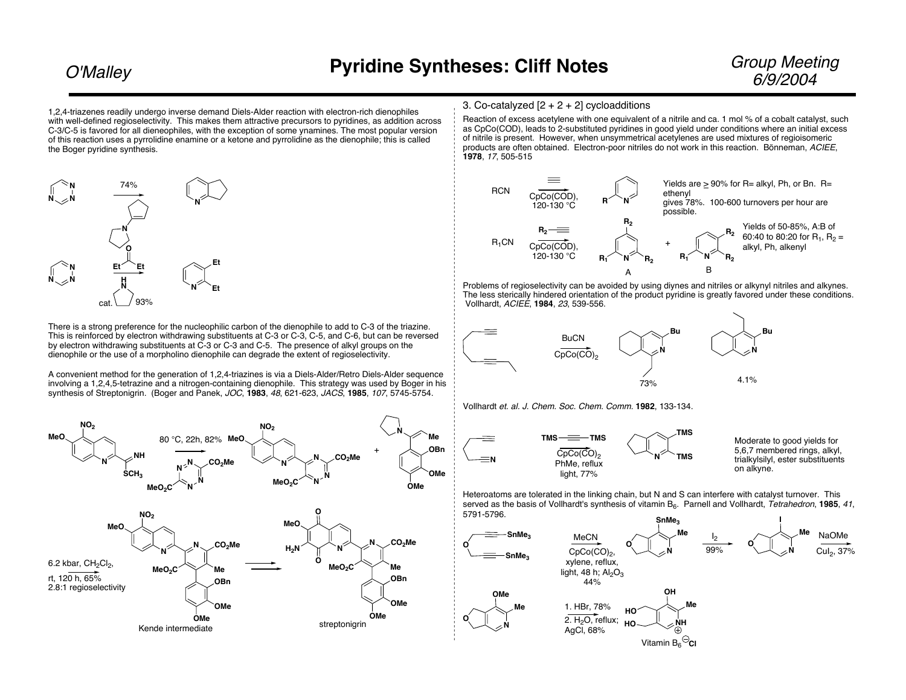1.2.4-triazenes readily undergo inverse demand Diels-Alder reaction with electron-rich dienophiles with well-defined regioselectivity. This makes them attractive precursors to pyridines, as addition across C-3/C-5 is favored for all dieneophiles, with the exception of some ynamines. The most popular version of this reaction uses a pyrrolidine enamine or a ketone and pyrrolidine as the dienophile; this is called the Boger pyridine synthesis.



There is a strong preference for the nucleophilic carbon of the dienophile to add to C-3 of the triazine. This is reinforced by electron withdrawing substituents at C-3 or C-3, C-5, and C-6, but can be reversed by electron withdrawing substituents at C-3 or C-3 and C-5. The presence of alkyl groups on the dienophile or the use of a morpholino dienophile can degrade the extent of regioselectivity.

A convenient method for the generation of 1,2,4-triazines is via a Diels-Alder/Retro Diels-Alder sequence involving a 1,2,4,5-tetrazine and a nitrogen-containing dienophile. This strategy was used by Boger in his synthesis of Streptonigrin. (Boger and Panek, JOC, 1983, 48, 621-623, JACS, 1985, 107, 5745-5754.



### 3. Co-catalyzed  $[2 + 2 + 2]$  cycloadditions

Reaction of excess acetylene with one equivalent of a nitrile and ca. 1 mol % of a cobalt catalyst, such as CpCo(COD), leads to 2-substituted pyridines in good yield under conditions where an initial excess of nitrile is present. However, when unsymmetrical acetylenes are used mixtures of regioisomeric products are often obtained. Electron-poor nitriles do not work in this reaction. Bönneman, ACIEE, 1978. 17. 505-515



Problems of regioselectivity can be avoided by using diynes and nitriles or alkynyl nitriles and alkynes. The less sterically hindered orientation of the product pyridine is greatly favored under these conditions. Vollhardt, ACIEE, 1984, 23, 539-556.



Bu 4.1%

Vollhardt et. al. J. Chem. Soc. Chem. Comm. 1982, 133-134.



Moderate to good vields for 5.6.7 membered rings, alkyl. trialkylsilvl, ester substituents

Heteroatoms are tolerated in the linking chain, but N and S can interfere with catalyst turnover. This served as the basis of Vollhardt's synthesis of vitamin B<sub>6</sub>. Parnell and Vollhardt. Tetrahedron. 1985. 41. 5791-5796.